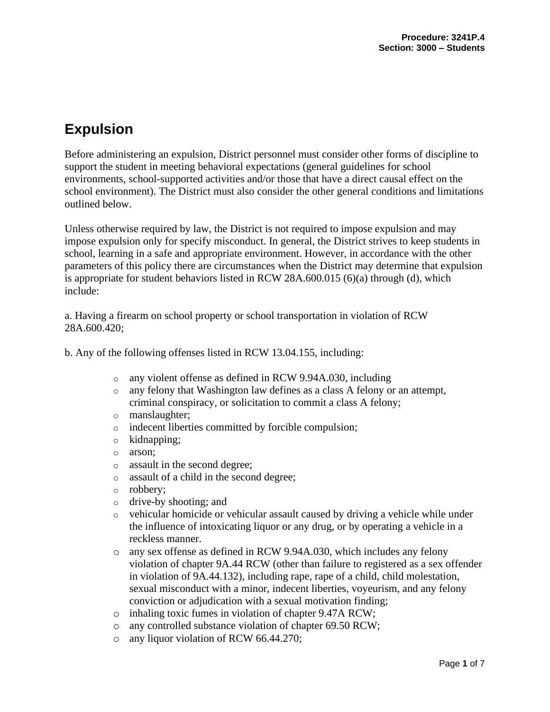# **Expulsion**

Before administering an expulsion, District personnel must consider other forms of discipline to support the student in meeting behavioral expectations (general guidelines for school environments, school-supported activities and/or those that have a direct causal effect on the school environment). The District must also consider the other general conditions and limitations outlined below.

Unless otherwise required by law, the District is not required to impose expulsion and may impose expulsion only for specify misconduct. In general, the District strives to keep students in school, learning in a safe and appropriate environment. However, in accordance with the other parameters of this policy there are circumstances when the District may determine that expulsion is appropriate for student behaviors listed in RCW  $28A.600.015(6)(a)$  through (d), which include:

a. Having a firearm on school property or school transportation in violation of RCW 28A.600.420;

b. Any of the following offenses listed in RCW 13.04.155, including:

- o any violent offense as defined in RCW 9.94A.030, including
- o any felony that Washington law defines as a class A felony or an attempt, criminal conspiracy, or solicitation to commit a class A felony;
- o manslaughter;
- o indecent liberties committed by forcible compulsion;
- o kidnapping;
- o arson;
- o assault in the second degree;
- o assault of a child in the second degree;
- o robbery;
- o drive-by shooting; and
- o vehicular homicide or vehicular assault caused by driving a vehicle while under the influence of intoxicating liquor or any drug, or by operating a vehicle in a reckless manner.
- o any sex offense as defined in RCW 9.94A.030, which includes any felony violation of chapter 9A.44 RCW (other than failure to registered as a sex offender in violation of 9A.44.132), including rape, rape of a child, child molestation, sexual misconduct with a minor, indecent liberties, voyeurism, and any felony conviction or adjudication with a sexual motivation finding;
- o inhaling toxic fumes in violation of chapter 9.47A RCW;
- o any controlled substance violation of chapter 69.50 RCW;
- o any liquor violation of RCW 66.44.270;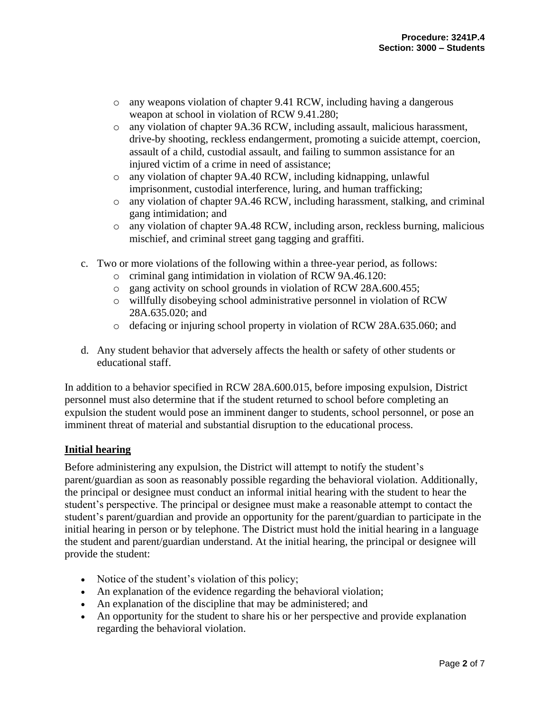- o any weapons violation of chapter 9.41 RCW, including having a dangerous weapon at school in violation of RCW 9.41.280;
- o any violation of chapter 9A.36 RCW, including assault, malicious harassment, drive-by shooting, reckless endangerment, promoting a suicide attempt, coercion, assault of a child, custodial assault, and failing to summon assistance for an injured victim of a crime in need of assistance;
- o any violation of chapter 9A.40 RCW, including kidnapping, unlawful imprisonment, custodial interference, luring, and human trafficking;
- o any violation of chapter 9A.46 RCW, including harassment, stalking, and criminal gang intimidation; and
- o any violation of chapter 9A.48 RCW, including arson, reckless burning, malicious mischief, and criminal street gang tagging and graffiti.
- c. Two or more violations of the following within a three-year period, as follows:
	- o criminal gang intimidation in violation of RCW 9A.46.120:
	- o gang activity on school grounds in violation of RCW 28A.600.455;
	- o willfully disobeying school administrative personnel in violation of RCW 28A.635.020; and
	- o defacing or injuring school property in violation of RCW 28A.635.060; and
- d. Any student behavior that adversely affects the health or safety of other students or educational staff.

In addition to a behavior specified in RCW 28A.600.015, before imposing expulsion, District personnel must also determine that if the student returned to school before completing an expulsion the student would pose an imminent danger to students, school personnel, or pose an imminent threat of material and substantial disruption to the educational process.

#### **Initial hearing**

Before administering any expulsion, the District will attempt to notify the student's parent/guardian as soon as reasonably possible regarding the behavioral violation. Additionally, the principal or designee must conduct an informal initial hearing with the student to hear the student's perspective. The principal or designee must make a reasonable attempt to contact the student's parent/guardian and provide an opportunity for the parent/guardian to participate in the initial hearing in person or by telephone. The District must hold the initial hearing in a language the student and parent/guardian understand. At the initial hearing, the principal or designee will provide the student:

- Notice of the student's violation of this policy;
- An explanation of the evidence regarding the behavioral violation;
- An explanation of the discipline that may be administered; and
- An opportunity for the student to share his or her perspective and provide explanation regarding the behavioral violation.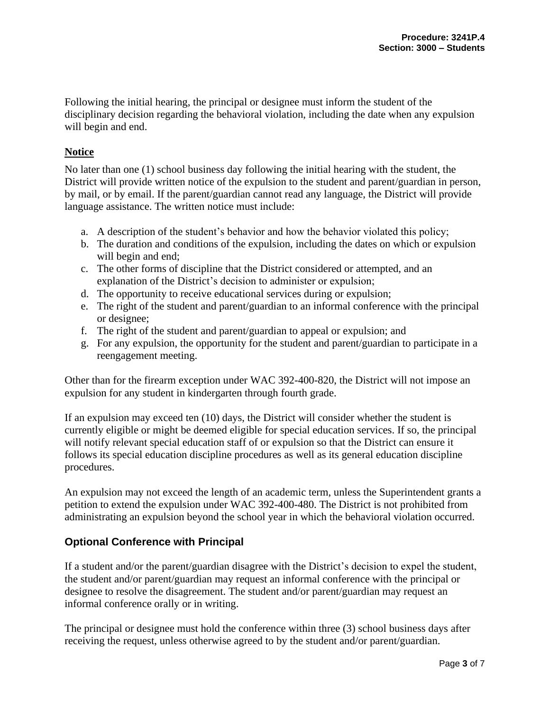Following the initial hearing, the principal or designee must inform the student of the disciplinary decision regarding the behavioral violation, including the date when any expulsion will begin and end.

## **Notice**

No later than one (1) school business day following the initial hearing with the student, the District will provide written notice of the expulsion to the student and parent/guardian in person, by mail, or by email. If the parent/guardian cannot read any language, the District will provide language assistance. The written notice must include:

- a. A description of the student's behavior and how the behavior violated this policy;
- b. The duration and conditions of the expulsion, including the dates on which or expulsion will begin and end;
- c. The other forms of discipline that the District considered or attempted, and an explanation of the District's decision to administer or expulsion;
- d. The opportunity to receive educational services during or expulsion;
- e. The right of the student and parent/guardian to an informal conference with the principal or designee;
- f. The right of the student and parent/guardian to appeal or expulsion; and
- g. For any expulsion, the opportunity for the student and parent/guardian to participate in a reengagement meeting.

Other than for the firearm exception under WAC 392-400-820, the District will not impose an expulsion for any student in kindergarten through fourth grade.

If an expulsion may exceed ten (10) days, the District will consider whether the student is currently eligible or might be deemed eligible for special education services. If so, the principal will notify relevant special education staff of or expulsion so that the District can ensure it follows its special education discipline procedures as well as its general education discipline procedures.

An expulsion may not exceed the length of an academic term, unless the Superintendent grants a petition to extend the expulsion under WAC 392-400-480. The District is not prohibited from administrating an expulsion beyond the school year in which the behavioral violation occurred.

# **Optional Conference with Principal**

If a student and/or the parent/guardian disagree with the District's decision to expel the student, the student and/or parent/guardian may request an informal conference with the principal or designee to resolve the disagreement. The student and/or parent/guardian may request an informal conference orally or in writing.

The principal or designee must hold the conference within three (3) school business days after receiving the request, unless otherwise agreed to by the student and/or parent/guardian.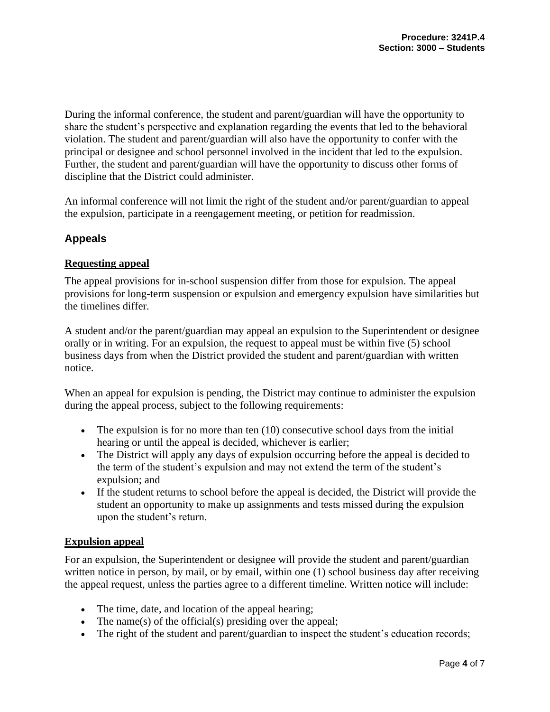During the informal conference, the student and parent/guardian will have the opportunity to share the student's perspective and explanation regarding the events that led to the behavioral violation. The student and parent/guardian will also have the opportunity to confer with the principal or designee and school personnel involved in the incident that led to the expulsion. Further, the student and parent/guardian will have the opportunity to discuss other forms of discipline that the District could administer.

An informal conference will not limit the right of the student and/or parent/guardian to appeal the expulsion, participate in a reengagement meeting, or petition for readmission.

## **Appeals**

#### **Requesting appeal**

The appeal provisions for in-school suspension differ from those for expulsion. The appeal provisions for long-term suspension or expulsion and emergency expulsion have similarities but the timelines differ.

A student and/or the parent/guardian may appeal an expulsion to the Superintendent or designee orally or in writing. For an expulsion, the request to appeal must be within five (5) school business days from when the District provided the student and parent/guardian with written notice.

When an appeal for expulsion is pending, the District may continue to administer the expulsion during the appeal process, subject to the following requirements:

- The expulsion is for no more than ten  $(10)$  consecutive school days from the initial hearing or until the appeal is decided, whichever is earlier;
- The District will apply any days of expulsion occurring before the appeal is decided to the term of the student's expulsion and may not extend the term of the student's expulsion; and
- If the student returns to school before the appeal is decided, the District will provide the student an opportunity to make up assignments and tests missed during the expulsion upon the student's return.

#### **Expulsion appeal**

For an expulsion, the Superintendent or designee will provide the student and parent/guardian written notice in person, by mail, or by email, within one (1) school business day after receiving the appeal request, unless the parties agree to a different timeline. Written notice will include:

- The time, date, and location of the appeal hearing;
- The name(s) of the official(s) presiding over the appeal;
- The right of the student and parent/guardian to inspect the student's education records;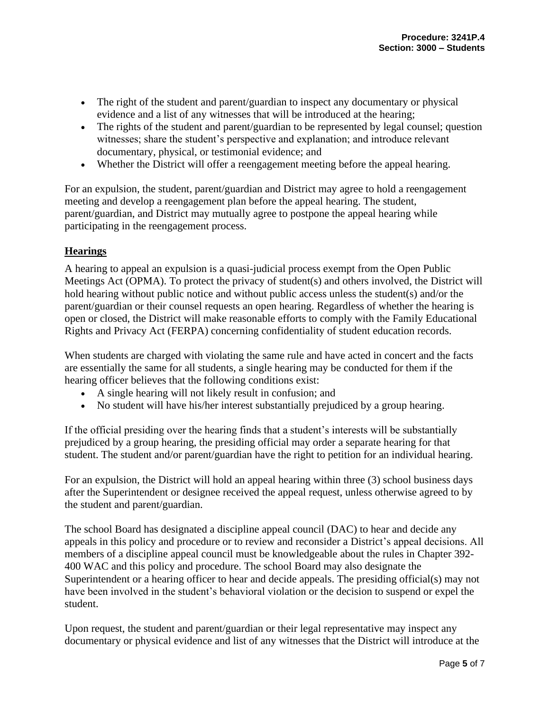- The right of the student and parent/guardian to inspect any documentary or physical evidence and a list of any witnesses that will be introduced at the hearing;
- The rights of the student and parent/guardian to be represented by legal counsel; question witnesses; share the student's perspective and explanation; and introduce relevant documentary, physical, or testimonial evidence; and
- Whether the District will offer a reengagement meeting before the appeal hearing.

For an expulsion, the student, parent/guardian and District may agree to hold a reengagement meeting and develop a reengagement plan before the appeal hearing. The student, parent/guardian, and District may mutually agree to postpone the appeal hearing while participating in the reengagement process.

#### **Hearings**

A hearing to appeal an expulsion is a quasi-judicial process exempt from the Open Public Meetings Act (OPMA). To protect the privacy of student(s) and others involved, the District will hold hearing without public notice and without public access unless the student(s) and/or the parent/guardian or their counsel requests an open hearing. Regardless of whether the hearing is open or closed, the District will make reasonable efforts to comply with the Family Educational Rights and Privacy Act (FERPA) concerning confidentiality of student education records.

When students are charged with violating the same rule and have acted in concert and the facts are essentially the same for all students, a single hearing may be conducted for them if the hearing officer believes that the following conditions exist:

- A single hearing will not likely result in confusion; and
- No student will have his/her interest substantially prejudiced by a group hearing.

If the official presiding over the hearing finds that a student's interests will be substantially prejudiced by a group hearing, the presiding official may order a separate hearing for that student. The student and/or parent/guardian have the right to petition for an individual hearing.

For an expulsion, the District will hold an appeal hearing within three (3) school business days after the Superintendent or designee received the appeal request, unless otherwise agreed to by the student and parent/guardian.

The school Board has designated a discipline appeal council (DAC) to hear and decide any appeals in this policy and procedure or to review and reconsider a District's appeal decisions. All members of a discipline appeal council must be knowledgeable about the rules in Chapter 392- 400 WAC and this policy and procedure. The school Board may also designate the Superintendent or a hearing officer to hear and decide appeals. The presiding official(s) may not have been involved in the student's behavioral violation or the decision to suspend or expel the student.

Upon request, the student and parent/guardian or their legal representative may inspect any documentary or physical evidence and list of any witnesses that the District will introduce at the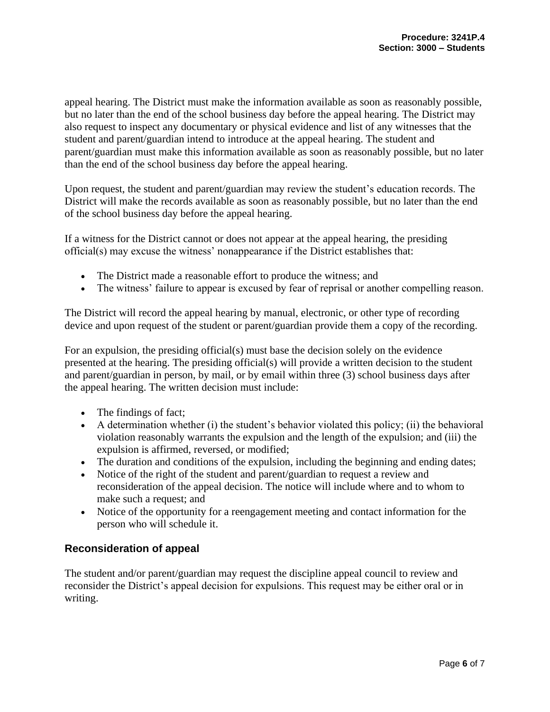appeal hearing. The District must make the information available as soon as reasonably possible, but no later than the end of the school business day before the appeal hearing. The District may also request to inspect any documentary or physical evidence and list of any witnesses that the student and parent/guardian intend to introduce at the appeal hearing. The student and parent/guardian must make this information available as soon as reasonably possible, but no later than the end of the school business day before the appeal hearing.

Upon request, the student and parent/guardian may review the student's education records. The District will make the records available as soon as reasonably possible, but no later than the end of the school business day before the appeal hearing.

If a witness for the District cannot or does not appear at the appeal hearing, the presiding official(s) may excuse the witness' nonappearance if the District establishes that:

- The District made a reasonable effort to produce the witness; and
- The witness' failure to appear is excused by fear of reprisal or another compelling reason.

The District will record the appeal hearing by manual, electronic, or other type of recording device and upon request of the student or parent/guardian provide them a copy of the recording.

For an expulsion, the presiding official(s) must base the decision solely on the evidence presented at the hearing. The presiding official(s) will provide a written decision to the student and parent/guardian in person, by mail, or by email within three (3) school business days after the appeal hearing. The written decision must include:

- The findings of fact:
- A determination whether (i) the student's behavior violated this policy; (ii) the behavioral violation reasonably warrants the expulsion and the length of the expulsion; and (iii) the expulsion is affirmed, reversed, or modified;
- The duration and conditions of the expulsion, including the beginning and ending dates;
- Notice of the right of the student and parent/guardian to request a review and reconsideration of the appeal decision. The notice will include where and to whom to make such a request; and
- Notice of the opportunity for a reengagement meeting and contact information for the person who will schedule it.

# **Reconsideration of appeal**

The student and/or parent/guardian may request the discipline appeal council to review and reconsider the District's appeal decision for expulsions. This request may be either oral or in writing.